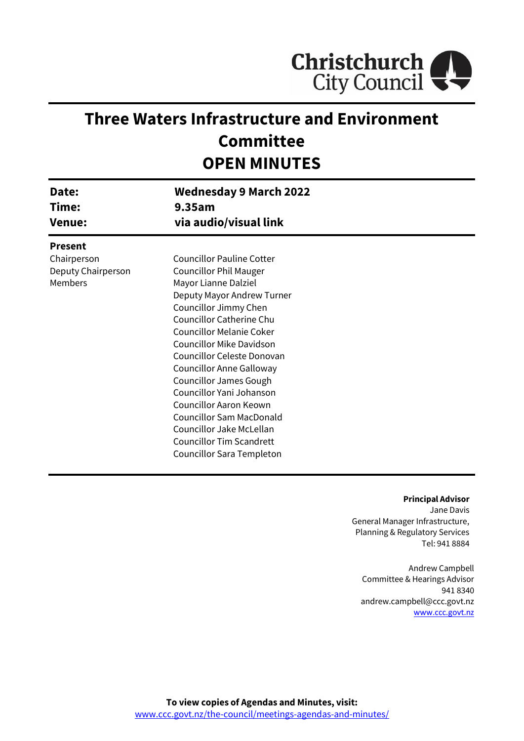

# **Three Waters Infrastructure and Environment Committee OPEN MINUTES**

| Date:<br>Time:<br><b>Venue:</b> | <b>Wednesday 9 March 2022</b><br>9.35am<br>via audio/visual link |  |
|---------------------------------|------------------------------------------------------------------|--|
| <b>Present</b>                  |                                                                  |  |
| Chairperson                     | <b>Councillor Pauline Cotter</b>                                 |  |
| Deputy Chairperson              | <b>Councillor Phil Mauger</b>                                    |  |
| Members                         | Mayor Lianne Dalziel                                             |  |
|                                 | Deputy Mayor Andrew Turner                                       |  |
|                                 | Councillor Jimmy Chen                                            |  |
|                                 | <b>Councillor Catherine Chu</b>                                  |  |
|                                 | <b>Councillor Melanie Coker</b>                                  |  |
|                                 | <b>Councillor Mike Davidson</b>                                  |  |
|                                 | Councillor Celeste Donovan                                       |  |
|                                 | Councillor Anne Galloway                                         |  |
|                                 | <b>Councillor James Gough</b>                                    |  |
|                                 | Councillor Yani Johanson                                         |  |
|                                 | Councillor Aaron Keown                                           |  |
|                                 | <b>Councillor Sam MacDonald</b>                                  |  |
|                                 | Councillor Jake McLellan                                         |  |
|                                 | <b>Councillor Tim Scandrett</b>                                  |  |
|                                 | Councillor Sara Templeton                                        |  |

#### **Principal Advisor**

Jane Davis General Manager Infrastructure, Planning & Regulatory Services Tel: 941 8884

Andrew Campbell Committee & Hearings Advisor 941 8340 andrew.campbell@ccc.govt.nz [www.ccc.govt.nz](http://www.ccc.govt.nz/)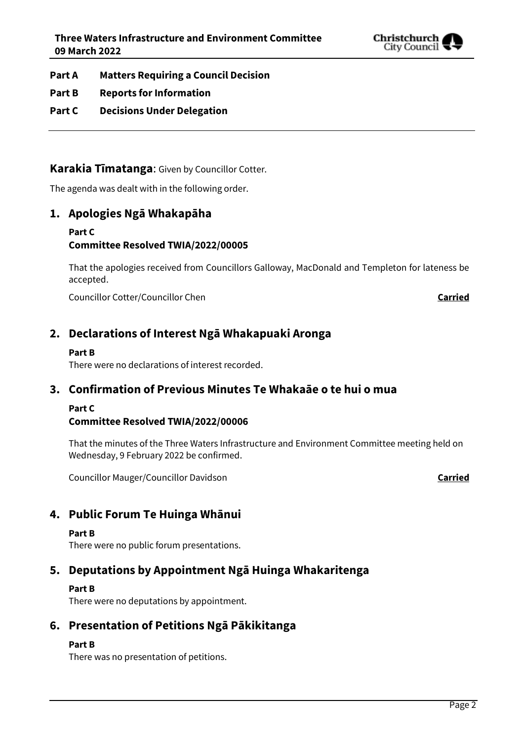

- **Part A Matters Requiring a Council Decision**
- **Part B Reports for Information**
- **Part C Decisions Under Delegation**

# **Karakia Tīmatanga**: Given by Councillor Cotter.

The agenda was dealt with in the following order.

# **1. Apologies Ngā Whakapāha**

### **Part C Committee Resolved TWIA/2022/00005**

That the apologies received from Councillors Galloway, MacDonald and Templeton for lateness be accepted.

Councillor Cotter/Councillor Chen **Carried**

# **2. Declarations of Interest Ngā Whakapuaki Aronga**

### **Part B**

There were no declarations of interest recorded.

# **3. Confirmation of Previous Minutes Te Whakaāe o te hui o mua**

### **Part C**

## **Committee Resolved TWIA/2022/00006**

That the minutes of the Three Waters Infrastructure and Environment Committee meeting held on Wednesday, 9 February 2022 be confirmed.

Councillor Mauger/Councillor Davidson **Carried**

# **4. Public Forum Te Huinga Whānui**

#### **Part B**

There were no public forum presentations.

# **5. Deputations by Appointment Ngā Huinga Whakaritenga**

### **Part B**

There were no deputations by appointment.

# **6. Presentation of Petitions Ngā Pākikitanga**

### **Part B**

There was no presentation of petitions.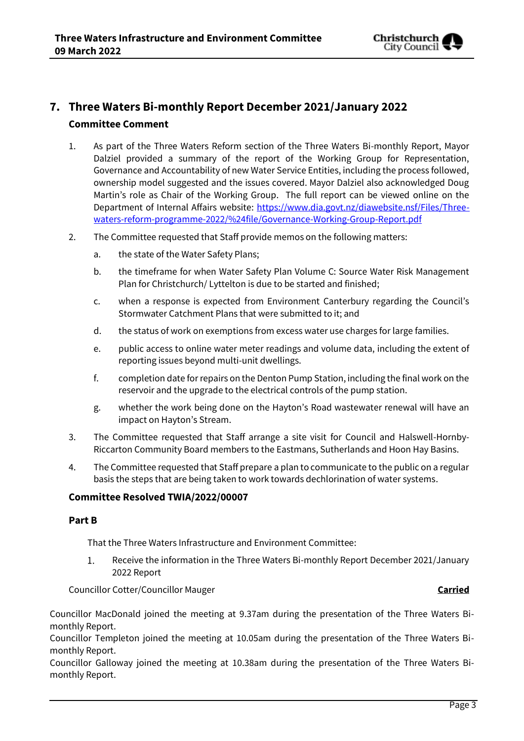

# **7. Three Waters Bi-monthly Report December 2021/January 2022 Committee Comment**

- 1. As part of the Three Waters Reform section of the Three Waters Bi-monthly Report, Mayor Dalziel provided a summary of the report of the Working Group for Representation, Governance and Accountability of new Water Service Entities, including the process followed, ownership model suggested and the issues covered. Mayor Dalziel also acknowledged Doug Martin's role as Chair of the Working Group. The full report can be viewed online on the Department of Internal Affairs website: [https://www.dia.govt.nz/diawebsite.nsf/Files/Three](https://www.dia.govt.nz/diawebsite.nsf/Files/Three-waters-reform-programme-2022/%24file/Governance-Working-Group-Report.pdf)[waters-reform-programme-2022/%24file/Governance-Working-Group-Report.pdf](https://www.dia.govt.nz/diawebsite.nsf/Files/Three-waters-reform-programme-2022/%24file/Governance-Working-Group-Report.pdf)
- 2. The Committee requested that Staff provide memos on the following matters:
	- a. the state of the Water Safety Plans;
	- b. the timeframe for when Water Safety Plan Volume C: Source Water Risk Management Plan for Christchurch/ Lyttelton is due to be started and finished;
	- c. when a response is expected from Environment Canterbury regarding the Council's Stormwater Catchment Plans that were submitted to it; and
	- d. the status of work on exemptions from excess water use charges for large families.
	- e. public access to online water meter readings and volume data, including the extent of reporting issues beyond multi-unit dwellings.
	- f. completion date for repairs on the Denton Pump Station, including the final work on the reservoir and the upgrade to the electrical controls of the pump station.
	- g. whether the work being done on the Hayton's Road wastewater renewal will have an impact on Hayton's Stream.
- 3. The Committee requested that Staff arrange a site visit for Council and Halswell-Hornby-Riccarton Community Board members to the Eastmans, Sutherlands and Hoon Hay Basins.
- 4. The Committee requested that Staff prepare a plan to communicate to the public on a regular basis the steps that are being taken to work towards dechlorination of water systems.

### **Committee Resolved TWIA/2022/00007**

### **Part B**

That the Three Waters Infrastructure and Environment Committee:

 $1.$ Receive the information in the Three Waters Bi-monthly Report December 2021/January 2022 Report

Councillor Cotter/Councillor Mauger **Carried**

Councillor MacDonald joined the meeting at 9.37am during the presentation of the Three Waters Bimonthly Report.

Councillor Templeton joined the meeting at 10.05am during the presentation of the Three Waters Bimonthly Report.

Councillor Galloway joined the meeting at 10.38am during the presentation of the Three Waters Bimonthly Report.